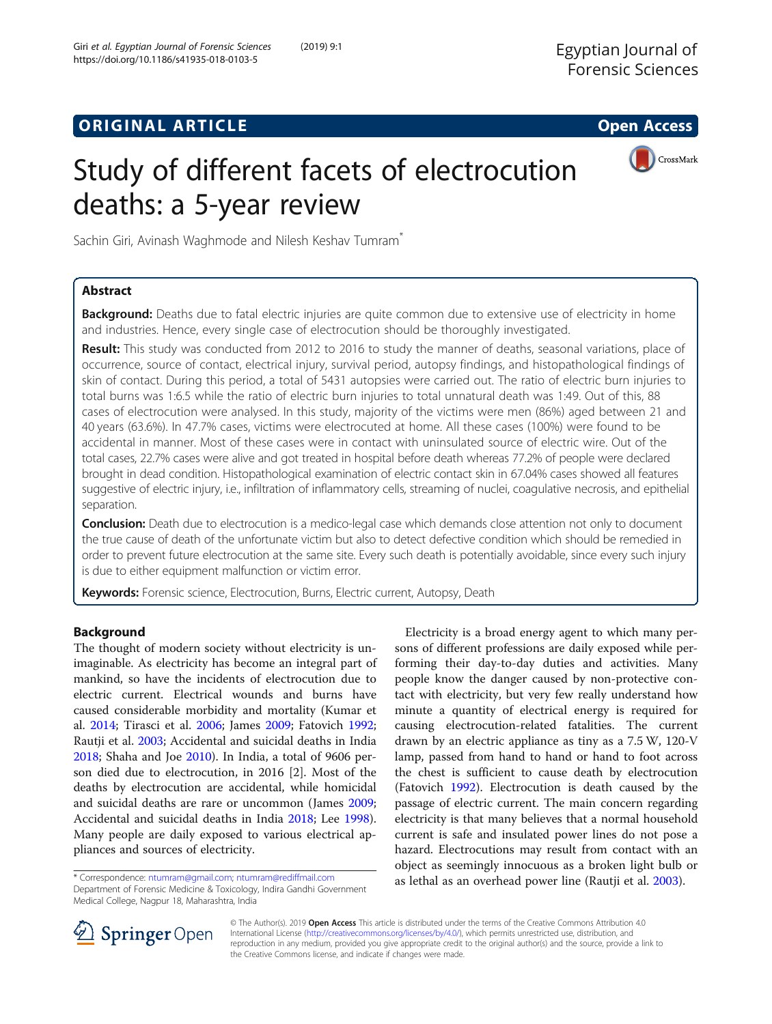# **ORIGINAL ARTICLE CONSERVANCE IN A LOCAL CONSERVANCE IN A LOCAL CONSERVANCE IN A LOCAL CONSERVANCE IN A LOCAL CONS**



# Study of different facets of electrocution deaths: a 5-year review

Sachin Giri, Avinash Waghmode and Nilesh Keshav Tumram<sup>\*</sup>

## Abstract

Background: Deaths due to fatal electric injuries are quite common due to extensive use of electricity in home and industries. Hence, every single case of electrocution should be thoroughly investigated.

Result: This study was conducted from 2012 to 2016 to study the manner of deaths, seasonal variations, place of occurrence, source of contact, electrical injury, survival period, autopsy findings, and histopathological findings of skin of contact. During this period, a total of 5431 autopsies were carried out. The ratio of electric burn injuries to total burns was 1:6.5 while the ratio of electric burn injuries to total unnatural death was 1:49. Out of this, 88 cases of electrocution were analysed. In this study, majority of the victims were men (86%) aged between 21 and 40 years (63.6%). In 47.7% cases, victims were electrocuted at home. All these cases (100%) were found to be accidental in manner. Most of these cases were in contact with uninsulated source of electric wire. Out of the total cases, 22.7% cases were alive and got treated in hospital before death whereas 77.2% of people were declared brought in dead condition. Histopathological examination of electric contact skin in 67.04% cases showed all features suggestive of electric injury, i.e., infiltration of inflammatory cells, streaming of nuclei, coagulative necrosis, and epithelial separation.

**Conclusion:** Death due to electrocution is a medico-legal case which demands close attention not only to document the true cause of death of the unfortunate victim but also to detect defective condition which should be remedied in order to prevent future electrocution at the same site. Every such death is potentially avoidable, since every such injury is due to either equipment malfunction or victim error.

Keywords: Forensic science, Electrocution, Burns, Electric current, Autopsy, Death

## Background

The thought of modern society without electricity is unimaginable. As electricity has become an integral part of mankind, so have the incidents of electrocution due to electric current. Electrical wounds and burns have caused considerable morbidity and mortality (Kumar et al. [2014](#page-4-0); Tirasci et al. [2006](#page-5-0); James [2009;](#page-4-0) Fatovich [1992](#page-4-0); Rautji et al. [2003](#page-5-0); Accidental and suicidal deaths in India [2018](#page-4-0); Shaha and Joe [2010](#page-5-0)). In India, a total of 9606 person died due to electrocution, in 2016 [2]. Most of the deaths by electrocution are accidental, while homicidal and suicidal deaths are rare or uncommon (James [2009](#page-4-0); Accidental and suicidal deaths in India [2018](#page-4-0); Lee [1998](#page-4-0)). Many people are daily exposed to various electrical appliances and sources of electricity.

Department of Forensic Medicine & Toxicology, Indira Gandhi Government Medical College, Nagpur 18, Maharashtra, India

Electricity is a broad energy agent to which many persons of different professions are daily exposed while performing their day-to-day duties and activities. Many people know the danger caused by non-protective contact with electricity, but very few really understand how minute a quantity of electrical energy is required for causing electrocution-related fatalities. The current drawn by an electric appliance as tiny as a 7.5 W, 120-V lamp, passed from hand to hand or hand to foot across the chest is sufficient to cause death by electrocution (Fatovich [1992](#page-4-0)). Electrocution is death caused by the passage of electric current. The main concern regarding electricity is that many believes that a normal household current is safe and insulated power lines do not pose a hazard. Electrocutions may result from contact with an object as seemingly innocuous as a broken light bulb or \* Correspondence: ntumram@gmail.com; ntumram@rediffmail.com as lethal as an overhead power line (Rautji et al. [2003\)](#page-5-0).



© The Author(s). 2019 Open Access This article is distributed under the terms of the Creative Commons Attribution 4.0 International License ([http://creativecommons.org/licenses/by/4.0/\)](http://creativecommons.org/licenses/by/4.0/), which permits unrestricted use, distribution, and reproduction in any medium, provided you give appropriate credit to the original author(s) and the source, provide a link to the Creative Commons license, and indicate if changes were made.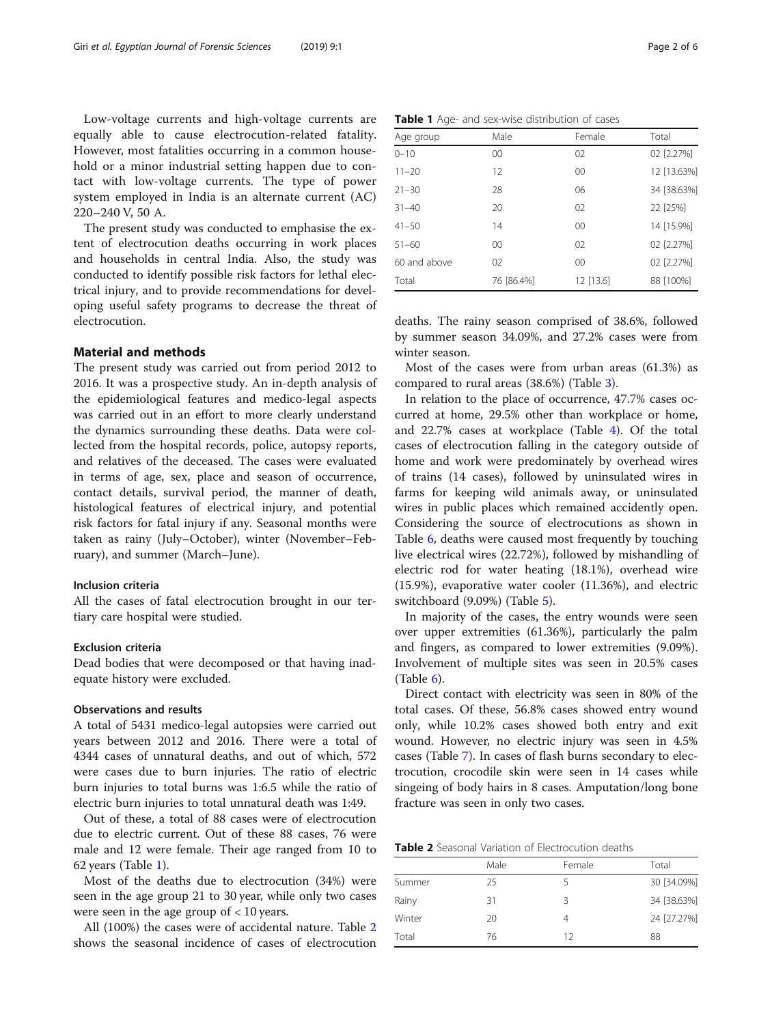Low-voltage currents and high-voltage currents are equally able to cause electrocution-related fatality. However, most fatalities occurring in a common household or a minor industrial setting happen due to contact with low-voltage currents. The type of power system employed in India is an alternate current (AC) 220–240 V, 50 A.

The present study was conducted to emphasise the extent of electrocution deaths occurring in work places and households in central India. Also, the study was conducted to identify possible risk factors for lethal electrical injury, and to provide recommendations for developing useful safety programs to decrease the threat of electrocution.

## Material and methods

The present study was carried out from period 2012 to 2016. It was a prospective study. An in-depth analysis of the epidemiological features and medico-legal aspects was carried out in an effort to more clearly understand the dynamics surrounding these deaths. Data were collected from the hospital records, police, autopsy reports, and relatives of the deceased. The cases were evaluated in terms of age, sex, place and season of occurrence, contact details, survival period, the manner of death, histological features of electrical injury, and potential risk factors for fatal injury if any. Seasonal months were taken as rainy (July–October), winter (November–February), and summer (March–June).

#### Inclusion criteria

All the cases of fatal electrocution brought in our tertiary care hospital were studied.

#### Exclusion criteria

Dead bodies that were decomposed or that having inadequate history were excluded.

#### Observations and results

A total of 5431 medico-legal autopsies were carried out years between 2012 and 2016. There were a total of 4344 cases of unnatural deaths, and out of which, 572 were cases due to burn injuries. The ratio of electric burn injuries to total burns was 1:6.5 while the ratio of electric burn injuries to total unnatural death was 1:49.

Out of these, a total of 88 cases were of electrocution due to electric current. Out of these 88 cases, 76 were male and 12 were female. Their age ranged from 10 to 62 years (Table 1).

Most of the deaths due to electrocution (34%) were seen in the age group 21 to 30 year, while only two cases were seen in the age group of < 10 years.

All (100%) the cases were of accidental nature. Table 2 shows the seasonal incidence of cases of electrocution

|  |  |  |  | Table 1 Age- and sex-wise distribution of cases |  |
|--|--|--|--|-------------------------------------------------|--|
|--|--|--|--|-------------------------------------------------|--|

| Age group    | Male       | Female      | Total       |
|--------------|------------|-------------|-------------|
| $0 - 10$     | 00         | 02          | 02 [2.27%]  |
| $11 - 20$    | 12         | 00          | 12 [13.63%] |
| $21 - 30$    | 28         | 06          | 34 [38.63%] |
| $31 - 40$    | 20         | 02          | 22 [25%]    |
| $41 - 50$    | 14         | $00\,$      | 14 [15.9%]  |
| $51 - 60$    | $00\,$     | 02          | 02 [2.27%]  |
| 60 and above | 02         | $00\,$      | 02 [2.27%]  |
| Total        | 76 [86.4%] | $12$ [13.6] | 88 [100%]   |

deaths. The rainy season comprised of 38.6%, followed by summer season 34.09%, and 27.2% cases were from winter season.

Most of the cases were from urban areas (61.3%) as compared to rural areas (38.6%) (Table [3\)](#page-2-0).

In relation to the place of occurrence, 47.7% cases occurred at home, 29.5% other than workplace or home, and 22.7% cases at workplace (Table [4\)](#page-2-0). Of the total cases of electrocution falling in the category outside of home and work were predominately by overhead wires of trains (14 cases), followed by uninsulated wires in farms for keeping wild animals away, or uninsulated wires in public places which remained accidently open. Considering the source of electrocutions as shown in Table [6,](#page-2-0) deaths were caused most frequently by touching live electrical wires (22.72%), followed by mishandling of electric rod for water heating (18.1%), overhead wire (15.9%), evaporative water cooler (11.36%), and electric switchboard (9.09%) (Table [5](#page-2-0)).

In majority of the cases, the entry wounds were seen over upper extremities (61.36%), particularly the palm and fingers, as compared to lower extremities (9.09%). Involvement of multiple sites was seen in 20.5% cases (Table [6\)](#page-2-0).

Direct contact with electricity was seen in 80% of the total cases. Of these, 56.8% cases showed entry wound only, while 10.2% cases showed both entry and exit wound. However, no electric injury was seen in 4.5% cases (Table [7\)](#page-3-0). In cases of flash burns secondary to electrocution, crocodile skin were seen in 14 cases while singeing of body hairs in 8 cases. Amputation/long bone fracture was seen in only two cases.

| <b>Table 2</b> Seasonal Variation of Electrocution deaths |
|-----------------------------------------------------------|
|-----------------------------------------------------------|

|        | Male | Female | Total       |
|--------|------|--------|-------------|
| Summer | 25   | 5      | 30 [34.09%] |
| Rainy  | 31   | 3      | 34 [38.63%] |
| Winter | 20   | 4      | 24 [27.27%] |
| Total  | 76   | 12     | 88          |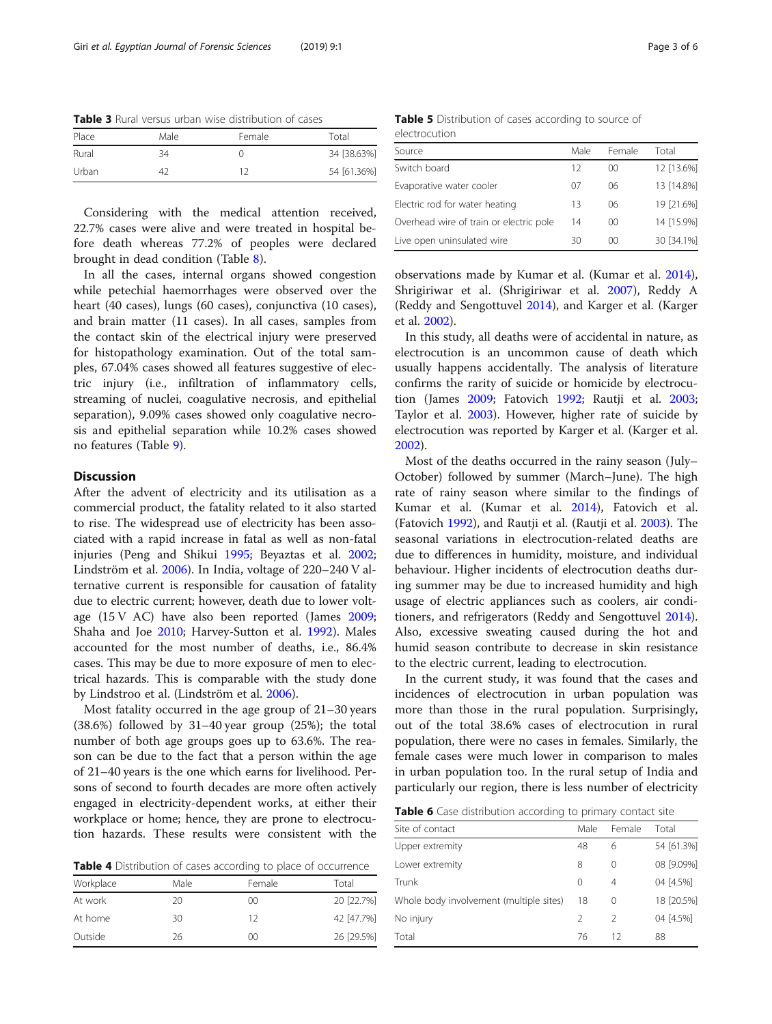<span id="page-2-0"></span>Table 3 Rural versus urban wise distribution of cases

| Place | Male | Female | Total       |
|-------|------|--------|-------------|
| Rural | 34   |        | 34 [38.63%] |
| Urban | 42   | ר 1    | 54 [61.36%] |

Considering with the medical attention received, 22.7% cases were alive and were treated in hospital before death whereas 77.2% of peoples were declared brought in dead condition (Table [8](#page-3-0)).

In all the cases, internal organs showed congestion while petechial haemorrhages were observed over the heart (40 cases), lungs (60 cases), conjunctiva (10 cases), and brain matter (11 cases). In all cases, samples from the contact skin of the electrical injury were preserved for histopathology examination. Out of the total samples, 67.04% cases showed all features suggestive of electric injury (i.e., infiltration of inflammatory cells, streaming of nuclei, coagulative necrosis, and epithelial separation), 9.09% cases showed only coagulative necrosis and epithelial separation while 10.2% cases showed no features (Table [9](#page-3-0)).

### **Discussion**

After the advent of electricity and its utilisation as a commercial product, the fatality related to it also started to rise. The widespread use of electricity has been associated with a rapid increase in fatal as well as non-fatal injuries (Peng and Shikui [1995;](#page-4-0) Beyaztas et al. [2002](#page-4-0); Lindström et al. [2006\)](#page-4-0). In India, voltage of 220–240 V alternative current is responsible for causation of fatality due to electric current; however, death due to lower voltage (15 V AC) have also been reported (James [2009](#page-4-0); Shaha and Joe [2010](#page-5-0); Harvey-Sutton et al. [1992\)](#page-4-0). Males accounted for the most number of deaths, i.e., 86.4% cases. This may be due to more exposure of men to electrical hazards. This is comparable with the study done by Lindstroo et al. (Lindström et al. [2006](#page-4-0)).

Most fatality occurred in the age group of 21–30 years (38.6%) followed by 31–40 year group (25%); the total number of both age groups goes up to 63.6%. The reason can be due to the fact that a person within the age of 21–40 years is the one which earns for livelihood. Persons of second to fourth decades are more often actively engaged in electricity-dependent works, at either their workplace or home; hence, they are prone to electrocution hazards. These results were consistent with the

Table 4 Distribution of cases according to place of occurrence

| Workplace | Male | Female  | Total      |
|-----------|------|---------|------------|
| At work   | 20   | 00      | 20 [22.7%] |
| At home   | 30   | 12      | 42 [47.7%] |
| Outside   | 26   | $00 \,$ | 26 [29.5%] |

Table 5 Distribution of cases according to source of

electrocution

| Source                                  | Male | Female  | Total      |
|-----------------------------------------|------|---------|------------|
| Switch board                            | 12   | 00      | 12 [13.6%] |
| Evaporative water cooler                | 07   | 06      | 13 [14.8%] |
| Electric rod for water heating          | 13   | 06      | 19 [21.6%] |
| Overhead wire of train or electric pole | 14   | 00      | 14 [15.9%] |
| Live open uninsulated wire              | 30   | $00 \,$ | 30 [34.1%] |
|                                         |      |         |            |

observations made by Kumar et al. (Kumar et al. [2014](#page-4-0)), Shrigiriwar et al. (Shrigiriwar et al. [2007\)](#page-5-0), Reddy A (Reddy and Sengottuvel [2014](#page-5-0)), and Karger et al. (Karger et al. [2002\)](#page-4-0).

In this study, all deaths were of accidental in nature, as electrocution is an uncommon cause of death which usually happens accidentally. The analysis of literature confirms the rarity of suicide or homicide by electrocution (James [2009](#page-4-0); Fatovich [1992](#page-4-0); Rautji et al. [2003](#page-5-0); Taylor et al. [2003](#page-5-0)). However, higher rate of suicide by electrocution was reported by Karger et al. (Karger et al. [2002](#page-4-0)).

Most of the deaths occurred in the rainy season (July– October) followed by summer (March–June). The high rate of rainy season where similar to the findings of Kumar et al. (Kumar et al. [2014\)](#page-4-0), Fatovich et al. (Fatovich [1992\)](#page-4-0), and Rautji et al. (Rautji et al. [2003](#page-5-0)). The seasonal variations in electrocution-related deaths are due to differences in humidity, moisture, and individual behaviour. Higher incidents of electrocution deaths during summer may be due to increased humidity and high usage of electric appliances such as coolers, air conditioners, and refrigerators (Reddy and Sengottuvel [2014](#page-5-0)). Also, excessive sweating caused during the hot and humid season contribute to decrease in skin resistance to the electric current, leading to electrocution.

In the current study, it was found that the cases and incidences of electrocution in urban population was more than those in the rural population. Surprisingly, out of the total 38.6% cases of electrocution in rural population, there were no cases in females. Similarly, the female cases were much lower in comparison to males in urban population too. In the rural setup of India and particularly our region, there is less number of electricity

|  |  |  | Table 6 Case distribution according to primary contact site |
|--|--|--|-------------------------------------------------------------|
|  |  |  |                                                             |

| Site of contact                         | Male     | Female        | Total      |
|-----------------------------------------|----------|---------------|------------|
| Upper extremity                         | 48       | 6             | 54 [61.3%] |
| Lower extremity                         | 8        | 0             | 08 [9.09%] |
| Trunk                                   | $\Omega$ | 4             | 04 [4.5%]  |
| Whole body involvement (multiple sites) | 18       | 0             | 18 [20.5%] |
| No injury                               | 2        | $\mathcal{L}$ | 04 [4.5%]  |
| Total                                   | 76       | 12            | 88         |
|                                         |          |               |            |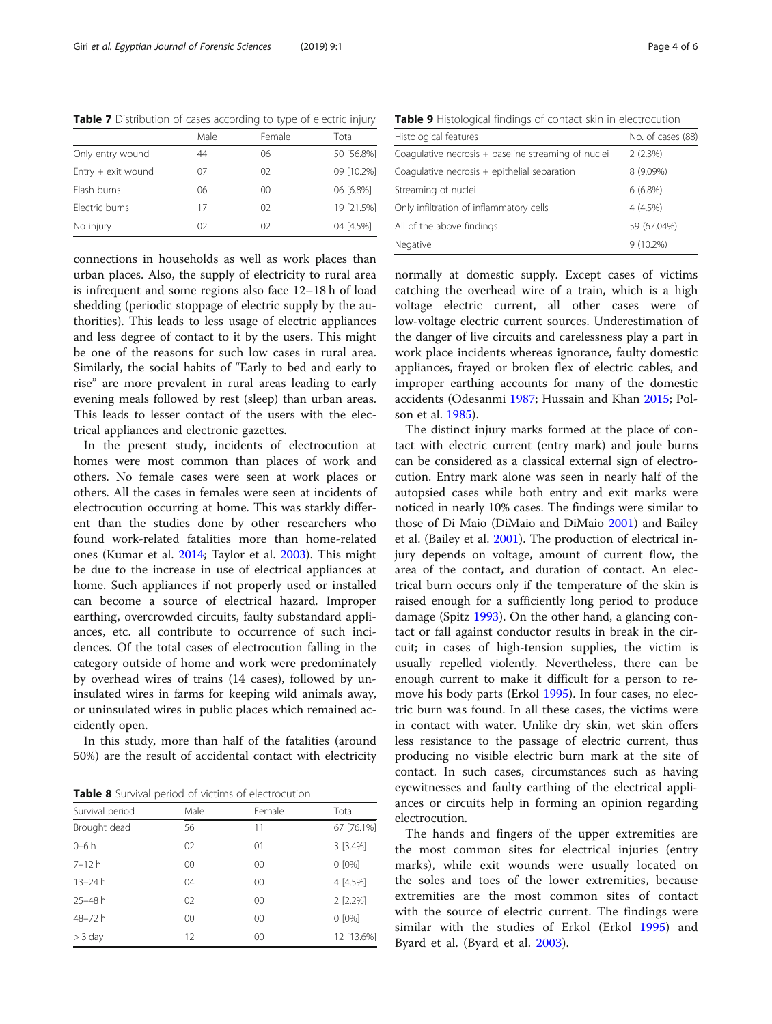<span id="page-3-0"></span>Table 7 Distribution of cases according to type of electric injury

| Male | Female | Total      |
|------|--------|------------|
| 44   | 06     | 50 [56.8%] |
| 07   | 02     | 09 [10.2%] |
| 06   | OO.    | 06 [6.8%]  |
| 17   | 02     | 19 [21.5%] |
| 02   | 02     | 04 [4.5%]  |
|      |        |            |

connections in households as well as work places than urban places. Also, the supply of electricity to rural area is infrequent and some regions also face 12–18 h of load shedding (periodic stoppage of electric supply by the authorities). This leads to less usage of electric appliances and less degree of contact to it by the users. This might be one of the reasons for such low cases in rural area. Similarly, the social habits of "Early to bed and early to rise" are more prevalent in rural areas leading to early evening meals followed by rest (sleep) than urban areas. This leads to lesser contact of the users with the electrical appliances and electronic gazettes.

In the present study, incidents of electrocution at homes were most common than places of work and others. No female cases were seen at work places or others. All the cases in females were seen at incidents of electrocution occurring at home. This was starkly different than the studies done by other researchers who found work-related fatalities more than home-related ones (Kumar et al. [2014](#page-4-0); Taylor et al. [2003](#page-5-0)). This might be due to the increase in use of electrical appliances at home. Such appliances if not properly used or installed can become a source of electrical hazard. Improper earthing, overcrowded circuits, faulty substandard appliances, etc. all contribute to occurrence of such incidences. Of the total cases of electrocution falling in the category outside of home and work were predominately by overhead wires of trains (14 cases), followed by uninsulated wires in farms for keeping wild animals away, or uninsulated wires in public places which remained accidently open.

In this study, more than half of the fatalities (around 50%) are the result of accidental contact with electricity

**Table 8** Survival period of victims of electrocution

| Survival period | Male    | Female  | Total      |
|-----------------|---------|---------|------------|
| Brought dead    | 56      | 11      | 67 [76.1%] |
| $0 - 6h$        | 02      | 01      | 3 [3.4%]   |
| $7 - 12h$       | $00 \,$ | $00 \,$ | $0 [0\%]$  |
| $13 - 24 h$     | 04      | $00 \,$ | 4 [4.5%]   |
| $25 - 48h$      | 02      | $00 \,$ | $2$ [2.2%] |
| 48-72h          | $00 \,$ | $00 \,$ | $0 [0\%]$  |
| $>$ 3 day       | 12      | $00 \,$ | 12 [13.6%] |

Table 9 Histological findings of contact skin in electrocution

| Histological features                               | No. of cases (88) |
|-----------------------------------------------------|-------------------|
| Coagulative necrosis + baseline streaming of nuclei | 2(2.3%)           |
| Coagulative necrosis + epithelial separation        | 8 (9.09%)         |
| Streaming of nuclei                                 | $6(6.8\%)$        |
| Only infiltration of inflammatory cells             | $4(4.5\%)$        |
| All of the above findings                           | 59 (67.04%)       |
| Negative                                            | $9(10.2\%)$       |

normally at domestic supply. Except cases of victims catching the overhead wire of a train, which is a high voltage electric current, all other cases were of low-voltage electric current sources. Underestimation of the danger of live circuits and carelessness play a part in work place incidents whereas ignorance, faulty domestic appliances, frayed or broken flex of electric cables, and improper earthing accounts for many of the domestic accidents (Odesanmi [1987](#page-4-0); Hussain and Khan [2015;](#page-4-0) Polson et al. [1985](#page-5-0)).

The distinct injury marks formed at the place of contact with electric current (entry mark) and joule burns can be considered as a classical external sign of electrocution. Entry mark alone was seen in nearly half of the autopsied cases while both entry and exit marks were noticed in nearly 10% cases. The findings were similar to those of Di Maio (DiMaio and DiMaio [2001](#page-4-0)) and Bailey et al. (Bailey et al. [2001](#page-4-0)). The production of electrical injury depends on voltage, amount of current flow, the area of the contact, and duration of contact. An electrical burn occurs only if the temperature of the skin is raised enough for a sufficiently long period to produce damage (Spitz [1993](#page-5-0)). On the other hand, a glancing contact or fall against conductor results in break in the circuit; in cases of high-tension supplies, the victim is usually repelled violently. Nevertheless, there can be enough current to make it difficult for a person to remove his body parts (Erkol [1995\)](#page-4-0). In four cases, no electric burn was found. In all these cases, the victims were in contact with water. Unlike dry skin, wet skin offers less resistance to the passage of electric current, thus producing no visible electric burn mark at the site of contact. In such cases, circumstances such as having eyewitnesses and faulty earthing of the electrical appliances or circuits help in forming an opinion regarding electrocution.

The hands and fingers of the upper extremities are the most common sites for electrical injuries (entry marks), while exit wounds were usually located on the soles and toes of the lower extremities, because extremities are the most common sites of contact with the source of electric current. The findings were similar with the studies of Erkol (Erkol [1995\)](#page-4-0) and Byard et al. (Byard et al. [2003\)](#page-4-0).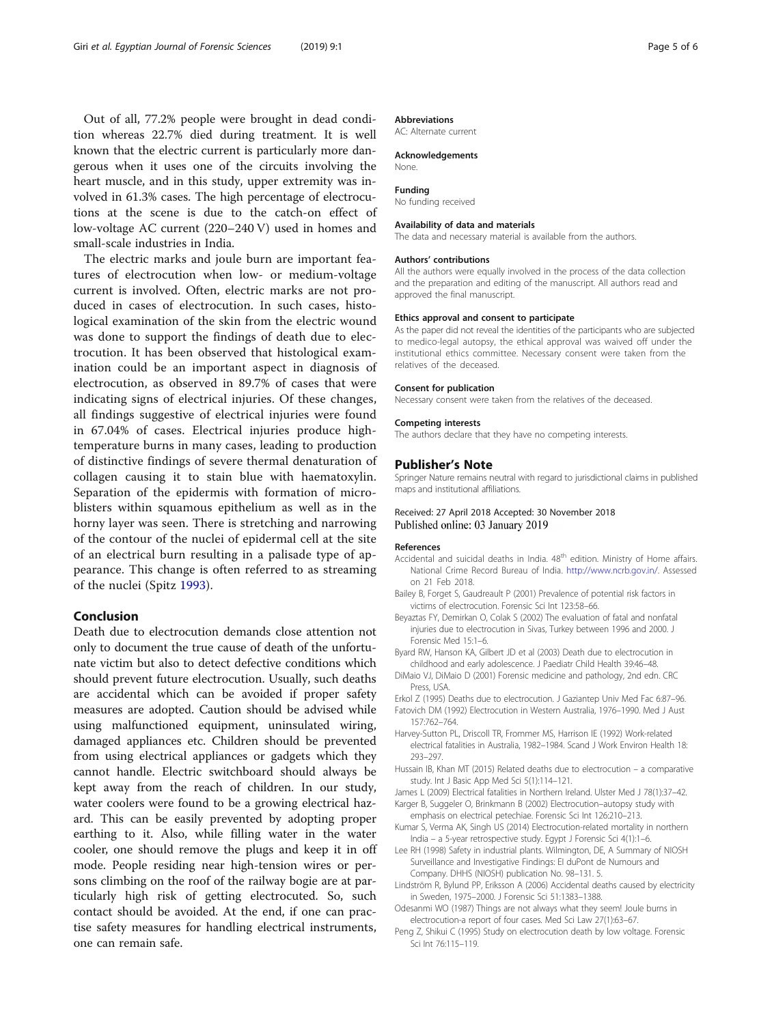<span id="page-4-0"></span>Out of all, 77.2% people were brought in dead condition whereas 22.7% died during treatment. It is well known that the electric current is particularly more dangerous when it uses one of the circuits involving the heart muscle, and in this study, upper extremity was involved in 61.3% cases. The high percentage of electrocutions at the scene is due to the catch-on effect of low-voltage AC current (220–240 V) used in homes and small-scale industries in India.

The electric marks and joule burn are important features of electrocution when low- or medium-voltage current is involved. Often, electric marks are not produced in cases of electrocution. In such cases, histological examination of the skin from the electric wound was done to support the findings of death due to electrocution. It has been observed that histological examination could be an important aspect in diagnosis of electrocution, as observed in 89.7% of cases that were indicating signs of electrical injuries. Of these changes, all findings suggestive of electrical injuries were found in 67.04% of cases. Electrical injuries produce hightemperature burns in many cases, leading to production of distinctive findings of severe thermal denaturation of collagen causing it to stain blue with haematoxylin. Separation of the epidermis with formation of microblisters within squamous epithelium as well as in the horny layer was seen. There is stretching and narrowing of the contour of the nuclei of epidermal cell at the site of an electrical burn resulting in a palisade type of appearance. This change is often referred to as streaming of the nuclei (Spitz [1993\)](#page-5-0).

## Conclusion

Death due to electrocution demands close attention not only to document the true cause of death of the unfortunate victim but also to detect defective conditions which should prevent future electrocution. Usually, such deaths are accidental which can be avoided if proper safety measures are adopted. Caution should be advised while using malfunctioned equipment, uninsulated wiring, damaged appliances etc. Children should be prevented from using electrical appliances or gadgets which they cannot handle. Electric switchboard should always be kept away from the reach of children. In our study, water coolers were found to be a growing electrical hazard. This can be easily prevented by adopting proper earthing to it. Also, while filling water in the water cooler, one should remove the plugs and keep it in off mode. People residing near high-tension wires or persons climbing on the roof of the railway bogie are at particularly high risk of getting electrocuted. So, such contact should be avoided. At the end, if one can practise safety measures for handling electrical instruments, one can remain safe.

#### Abbreviations

AC: Alternate current

#### Acknowledgements None.

Funding

No funding received

#### Availability of data and materials

The data and necessary material is available from the authors.

#### Authors' contributions

All the authors were equally involved in the process of the data collection and the preparation and editing of the manuscript. All authors read and approved the final manuscript.

#### Ethics approval and consent to participate

As the paper did not reveal the identities of the participants who are subjected to medico-legal autopsy, the ethical approval was waived off under the institutional ethics committee. Necessary consent were taken from the relatives of the deceased.

# Consent for publication

Necessary consent were taken from the relatives of the deceased.

## Competing interests

The authors declare that they have no competing interests.

#### Publisher's Note

Springer Nature remains neutral with regard to jurisdictional claims in published maps and institutional affiliations.

#### Received: 27 April 2018 Accepted: 30 November 2018 Published online: 03 January 2019

#### References

- Accidental and suicidal deaths in India. 48<sup>th</sup> edition. Ministry of Home affairs. National Crime Record Bureau of India. [http://www.ncrb.gov.in/.](http://www.ncrb.gov.in/) Assessed on 21 Feb 2018.
- Bailey B, Forget S, Gaudreault P (2001) Prevalence of potential risk factors in victims of electrocution. Forensic Sci Int 123:58–66.
- Beyaztas FY, Demirkan O, Colak S (2002) The evaluation of fatal and nonfatal injuries due to electrocution in Sivas, Turkey between 1996 and 2000. J Forensic Med 15:1–6.
- Byard RW, Hanson KA, Gilbert JD et al (2003) Death due to electrocution in childhood and early adolescence. J Paediatr Child Health 39:46–48.
- DiMaio VJ, DiMaio D (2001) Forensic medicine and pathology, 2nd edn. CRC Press, USA.
- Erkol Z (1995) Deaths due to electrocution. J Gaziantep Univ Med Fac 6:87–96. Fatovich DM (1992) Electrocution in Western Australia, 1976–1990. Med J Aust 157:762–764.
- Harvey-Sutton PL, Driscoll TR, Frommer MS, Harrison IE (1992) Work-related electrical fatalities in Australia, 1982–1984. Scand J Work Environ Health 18: 293–297.
- Hussain IB, Khan MT (2015) Related deaths due to electrocution a comparative study. Int J Basic App Med Sci 5(1):114–121.
- James L (2009) Electrical fatalities in Northern Ireland. Ulster Med J 78(1):37–42.
- Karger B, Suggeler O, Brinkmann B (2002) Electrocution–autopsy study with emphasis on electrical petechiae. Forensic Sci Int 126:210–213.
- Kumar S, Verma AK, Singh US (2014) Electrocution-related mortality in northern India – a 5-year retrospective study. Egypt J Forensic Sci 4(1):1–6.
- Lee RH (1998) Safety in industrial plants. Wilmington, DE, A Summary of NIOSH Surveillance and Investigative Findings: EI duPont de Numours and Company. DHHS (NIOSH) publication No. 98–131. 5.
- Lindström R, Bylund PP, Eriksson A (2006) Accidental deaths caused by electricity in Sweden, 1975–2000. J Forensic Sci 51:1383–1388.
- Odesanmi WO (1987) Things are not always what they seem! Joule burns in electrocution-a report of four cases. Med Sci Law 27(1):63–67.
- Peng Z, Shikui C (1995) Study on electrocution death by low voltage. Forensic Sci Int 76:115–119.